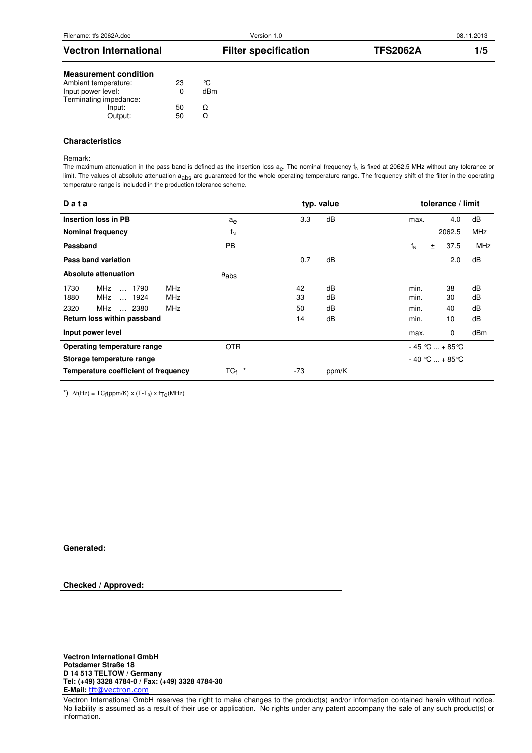# Vectron International **Filter specification** TFS2062A 1/5 **Measurement condition**  Ambient temperature: 23 °C<br>
Input power level: 0 dBm Input power level: Terminating impedance: Input: 50  $Ω$ <br>Output: 50  $Ω$

#### **Characteristics**

Output:

Remark:

The maximum attenuation in the pass band is defined as the insertion loss  $a_{e}$ . The nominal frequency  $f_{N}$  is fixed at 2062.5 MHz without any tolerance or limit. The values of absolute attenuation a<sub>abs</sub> are guaranteed for the whole operating temperature range. The frequency shift of the filter in the operating temperature range is included in the production tolerance scheme.

| Data                                       |                  |       | typ. value |                     | tolerance / limit |            |
|--------------------------------------------|------------------|-------|------------|---------------------|-------------------|------------|
| <b>Insertion loss in PB</b>                | ae               | 3.3   | dB         | max.                | 4.0               | dB         |
| Nominal frequency                          | $f_N$            |       |            |                     | 2062.5            | <b>MHz</b> |
| Passband                                   | <b>PB</b>        |       |            | $f_N$<br>$\pm$      | 37.5              | <b>MHz</b> |
| Pass band variation                        |                  | 0.7   | dB         |                     | 2.0               | dB         |
| Absolute attenuation                       | $a_{\text{abs}}$ |       |            |                     |                   |            |
| <b>MHz</b><br>MHz<br>$\dots$ 1790<br>1730  |                  | 42    | dB         | min.                | 38                | dB         |
| <b>MHz</b><br>MHz<br>1880<br>$\ldots$ 1924 |                  | 33    | dB         | min.                | 30                | dB         |
| <b>MHz</b><br>2320<br>MHz<br>2380          |                  | 50    | dB         | min.                | 40                | dB         |
| Return loss within passband                |                  | 14    | dB         | min.                | 10                | dB         |
| Input power level                          |                  |       |            | max.                | 0                 | dBm        |
| Operating temperature range                | <b>OTR</b>       |       |            | $-45$ °C  + 85 °C   |                   |            |
| Storage temperature range                  |                  |       |            | $-40$ °C $ + 85$ °C |                   |            |
| Temperature coefficient of frequency       | $TC_f$ *         | $-73$ | ppm/K      |                     |                   |            |

\*)  $\Delta f(Hz) = TC_f(ppm/K) \times (T-T_0) \times f_{TO}(MHz)$ 

**Generated:**

**Checked / Approved:**

Vectron International GmbH reserves the right to make changes to the product(s) and/or information contained herein without notice. No liability is assumed as a result of their use or application. No rights under any patent accompany the sale of any such product(s) or information.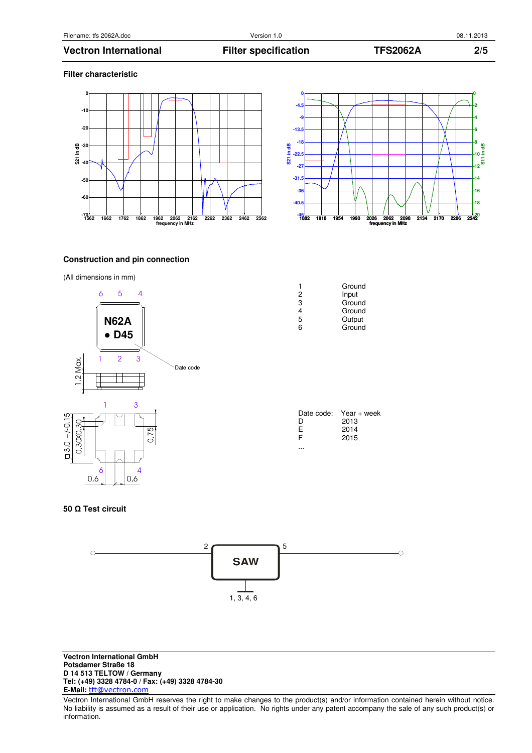#### **Filter characteristic**





# **Construction and pin connection**





| 2 | Input  |
|---|--------|
| 3 | Ground |
| 4 | Ground |
| 5 | Output |
| 6 | Ground |
|   |        |
|   |        |
|   |        |

1 Ground

| Date code: | Year + week |
|------------|-------------|
| D          | 2013        |
| Е          | 2014        |
| F          | 2015        |
|            |             |

#### **50** Ω **Test circuit**



Vectron International GmbH reserves the right to make changes to the product(s) and/or information contained herein without notice. No liability is assumed as a result of their use or application. No rights under any patent accompany the sale of any such product(s) or information.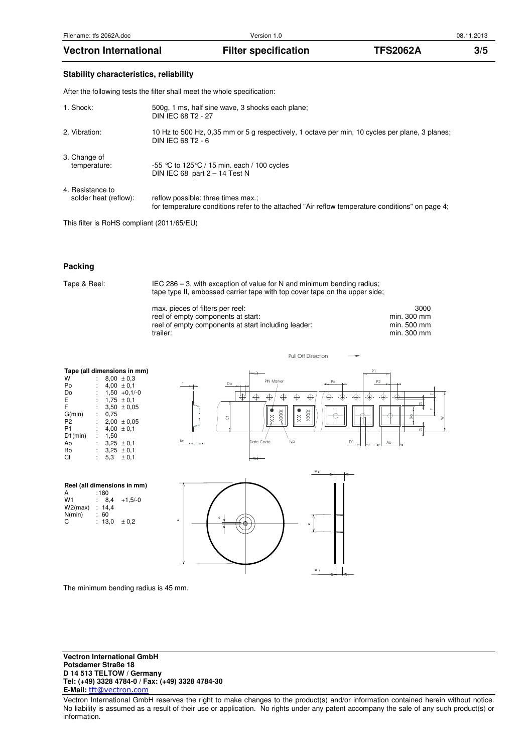### **Stability characteristics, reliability**

After the following tests the filter shall meet the whole specification:

| 1. Shock:             | 500g, 1 ms, half sine wave, 3 shocks each plane;<br>DIN IEC 68 T2 - 27                                              |
|-----------------------|---------------------------------------------------------------------------------------------------------------------|
| 2. Vibration:         | 10 Hz to 500 Hz, 0,35 mm or 5 g respectively, 1 octave per min, 10 cycles per plane, 3 planes;<br>DIN IEC 68 T2 - 6 |
| 3. Change of          | -55 °C to 125 °C / 15 min. each / 100 cycles                                                                        |
| temperature:          | DIN IEC 68 part $2 - 14$ Test N                                                                                     |
| 4. Resistance to      | reflow possible: three times max.;                                                                                  |
| solder heat (reflow): | for temperature conditions refer to the attached "Air reflow temperature conditions" on page 4;                     |

This filter is RoHS compliant (2011/65/EU)

### **Packing**

Tape & Reel: IEC 286 – 3, with exception of value for N and minimum bending radius; tape type II, embossed carrier tape with top cover tape on the upper side;

| max. pieces of filters per reel:                    | 3000        |
|-----------------------------------------------------|-------------|
| reel of empty components at start:                  | min. 300 mm |
| reel of empty components at start including leader: | min. 500 mm |
| trailer:                                            | min. 300 mm |

| Tape (all dimensions in mm) |   |                  |                   |    |  |
|-----------------------------|---|------------------|-------------------|----|--|
| W                           |   |                  | $8,00 \pm 0.3$    |    |  |
| Po                          |   |                  | $4,00 \pm 0.1$    |    |  |
| Do                          |   |                  | $: 1,50 +0,1/-0$  |    |  |
| E.                          |   | $: 1.75 \pm 0.1$ |                   |    |  |
| F                           |   |                  | $: 3.50 \pm 0.05$ |    |  |
| G(min)                      | ÷ | 0,75             |                   |    |  |
| P <sub>2</sub>              |   |                  | $2,00 \pm 0.05$   |    |  |
| P <sub>1</sub>              | t |                  | $4.00 \pm 0.1$    |    |  |
| D1(min)                     | t | 1.50             |                   |    |  |
| Ao                          |   | $: 3.25 \pm 0.1$ |                   | Ko |  |
| Bo                          |   | $: 3.25 \pm 0.1$ |                   |    |  |
| Ct                          |   |                  | $5.3 \pm 0.1$     |    |  |
|                             |   |                  |                   |    |  |

**Reel (all dimensions in mm)** 

 $\begin{array}{ccc} \cdot & \cdot & \cdot & \cdot \\ \cdot & 60 & & \cdot \\ \cdot & 13,0 & \pm 0,2 \end{array}$ 

A : 180  $W1$  : 8,4 +1,5/-0 W2(max) : 14,4

 $N(\text{min})$ <br>C



Pull Off Direction



The minimum bending radius is 45 mm.

Vectron International GmbH reserves the right to make changes to the product(s) and/or information contained herein without notice. No liability is assumed as a result of their use or application. No rights under any patent accompany the sale of any such product(s) or information.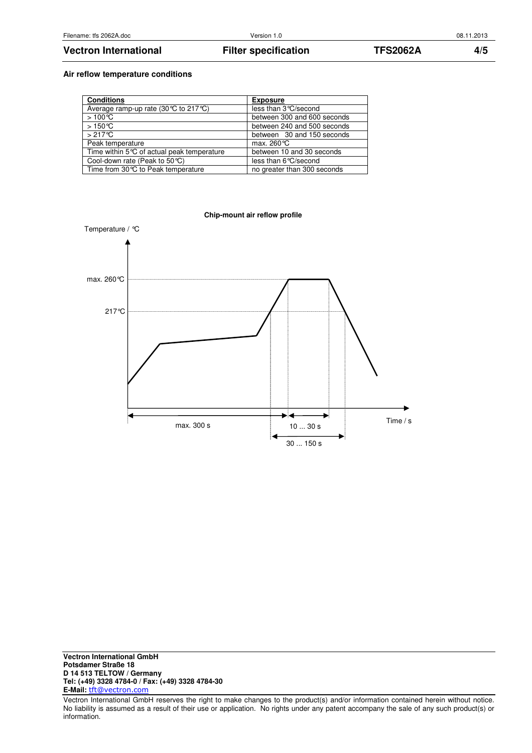## Vectron International **Filter specification** TFS2062A 4/5

# **Air reflow temperature conditions**

| <b>Conditions</b>                                    | <b>Exposure</b>             |
|------------------------------------------------------|-----------------------------|
| Average ramp-up rate $(30^{\circ}C)$ to 217 °C)      | less than 3 °C/second       |
| $>100^{\circ}$ C                                     | between 300 and 600 seconds |
| $>150^{\circ}$ ℃                                     | between 240 and 500 seconds |
| $>217^{\circ}$ C                                     | between 30 and 150 seconds  |
| Peak temperature                                     | max. $260^{\circ}$ C        |
| Time within $5^{\circ}$ C of actual peak temperature | between 10 and 30 seconds   |
| Cool-down rate (Peak to 50 °C)                       | less than 6 ° C/second      |
| Time from 30℃ to Peak temperature                    | no greater than 300 seconds |



Vectron International GmbH reserves the right to make changes to the product(s) and/or information contained herein without notice. No liability is assumed as a result of their use or application. No rights under any patent accompany the sale of any such product(s) or information.